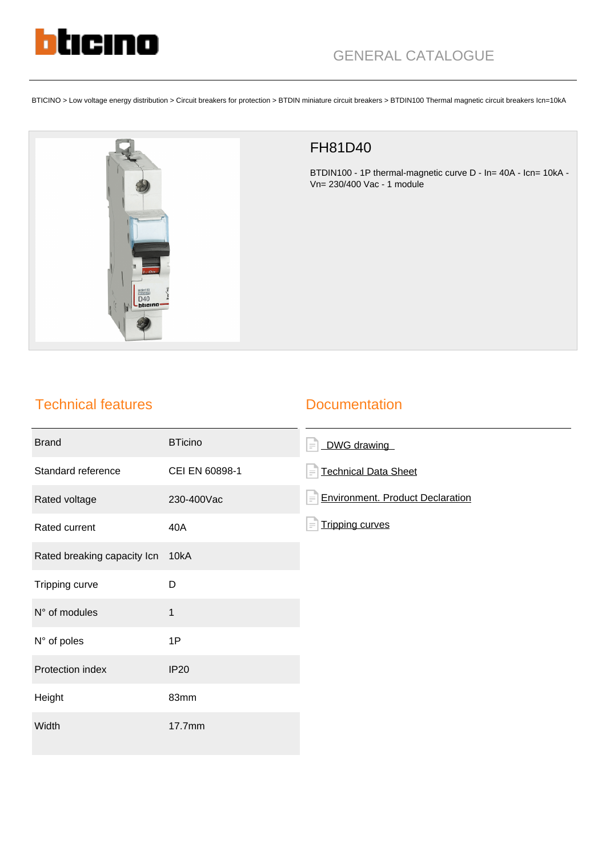

BTICINO > Low voltage energy distribution > Circuit breakers for protection > BTDIN miniature circuit breakers > BTDIN100 Thermal magnetic circuit breakers Icn=10kA



## FH81D40

BTDIN100 - 1P thermal-magnetic curve D - In= 40A - Icn= 10kA - Vn= 230/400 Vac - 1 module

## Technical features

## **Documentation**

| <b>Brand</b>                | <b>BTicino</b> | DWG drawing<br>$\equiv$                             |
|-----------------------------|----------------|-----------------------------------------------------|
| Standard reference          | CEI EN 60898-1 | <b>Technical Data Sheet</b><br>$=$                  |
| Rated voltage               | 230-400Vac     | <b>Environment. Product Declaration</b><br>$\equiv$ |
| Rated current               | 40A            | <b>Tripping curves</b><br>$=$                       |
| Rated breaking capacity Icn | 10kA           |                                                     |
| Tripping curve              | D              |                                                     |
| N° of modules               | $\mathbf{1}$   |                                                     |
| N° of poles                 | 1P             |                                                     |
| Protection index            | <b>IP20</b>    |                                                     |
| Height                      | 83mm           |                                                     |
| Width                       | 17.7mm         |                                                     |